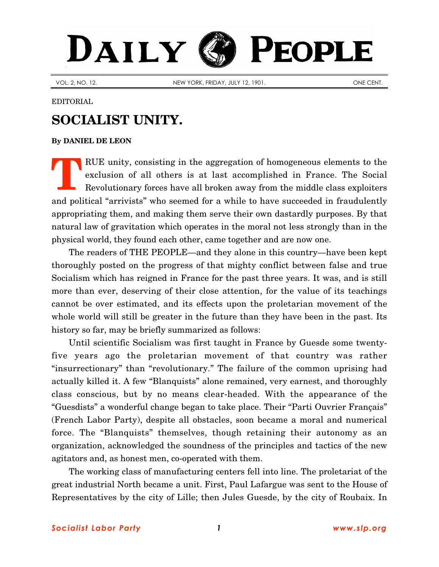## DAILY PEOPLE

VOL. 2, NO. 12. NEW YORK, FRIDAY, JULY 12, 1901.

EDITORIAL

## **SOCIALIST UNITY.**

## **By [DANIEL DE LEON](http://www.slp.org/De_Leon.htm)**

RUE unity, consisting in the aggregation of homogeneous elements to the exclusion of all others is at last accomplished in France. The Social Revolutionary forces have all broken away from the middle class exploiters and political "arrivists" who seemed for a while to have succeeded in fraudulently appropriating them, and making them serve their own dastardly purposes. By that natural law of gravitation which operates in the moral not less strongly than in the physical world, they found each other, came together and are now one. **T**

The readers of THE PEOPLE—and they alone in this country—have been kept thoroughly posted on the progress of that mighty conflict between false and true Socialism which has reigned in France for the past three years. It was, and is still more than ever, deserving of their close attention, for the value of its teachings cannot be over estimated, and its effects upon the proletarian movement of the whole world will still be greater in the future than they have been in the past. Its history so far, may be briefly summarized as follows:

Until scientific Socialism was first taught in France by Guesde some twentyfive years ago the proletarian movement of that country was rather "insurrectionary" than "revolutionary." The failure of the common uprising had actually killed it. A few "Blanquists" alone remained, very earnest, and thoroughly class conscious, but by no means clear-headed. With the appearance of the "Guesdists" a wonderful change began to take place. Their "Parti Ouvrier Français" (French Labor Party), despite all obstacles, soon became a moral and numerical force. The "Blanquists" themselves, though retaining their autonomy as an organization, acknowledged the soundness of the principles and tactics of the new agitators and, as honest men, co-operated with them.

The working class of manufacturing centers fell into line. The proletariat of the great industrial North became a unit. First, Paul Lafargue was sent to the House of Representatives by the city of Lille; then Jules Guesde, by the city of Roubaix. In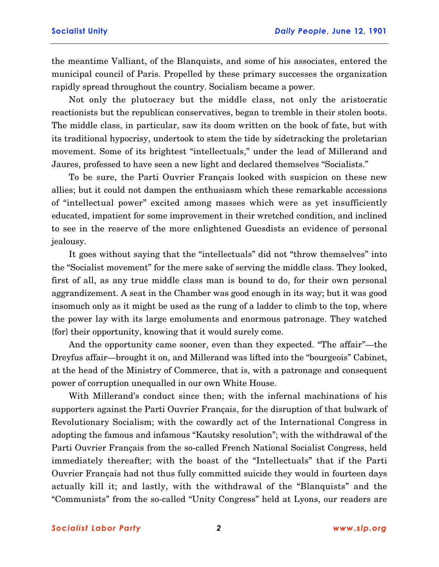the meantime Valliant, of the Blanquists, and some of his associates, entered the municipal council of Paris. Propelled by these primary successes the organization rapidly spread throughout the country. Socialism became a power.

Not only the plutocracy but the middle class, not only the aristocratic reactionists but the republican conservatives, began to tremble in their stolen boots. The middle class, in particular, saw its doom written on the book of fate, but with its traditional hypocrisy, undertook to stem the tide by sidetracking the proletarian movement. Some of its brightest "intellectuals," under the lead of Millerand and Jaures, professed to have seen a new light and declared themselves "Socialists."

To be sure, the Parti Ouvrier Français looked with suspicion on these new allies; but it could not dampen the enthusiasm which these remarkable accessions of "intellectual power" excited among masses which were as yet insufficiently educated, impatient for some improvement in their wretched condition, and inclined to see in the reserve of the more enlightened Guesdists an evidence of personal jealousy.

It goes without saying that the "intellectuals" did not "throw themselves" into the "Socialist movement" for the mere sake of serving the middle class. They looked, first of all, as any true middle class man is bound to do, for their own personal aggrandizement. A seat in the Chamber was good enough in its way; but it was good insomuch only as it might be used as the rung of a ladder to climb to the top, where the power lay with its large emoluments and enormous patronage. They watched {for} their opportunity, knowing that it would surely come.

And the opportunity came sooner, even than they expected. "The affair"—the Dreyfus affair—brought it on, and Millerand was lifted into the "bourgeois" Cabinet, at the head of the Ministry of Commerce, that is, with a patronage and consequent power of corruption unequalled in our own White House.

With Millerand's conduct since then; with the infernal machinations of his supporters against the Parti Ouvrier Français, for the disruption of that bulwark of Revolutionary Socialism; with the cowardly act of the International Congress in adopting the famous and infamous "Kautsky resolution"; with the withdrawal of the Parti Ouvrier Français from the so-called French National Socialist Congress, held immediately thereafter; with the boast of the "Intellectuals" that if the Parti Ouvrier Français had not thus fully committed suicide they would in fourteen days actually kill it; and lastly, with the withdrawal of the "Blanquists" and the "Communists" from the so-called "Unity Congress" held at Lyons, our readers are